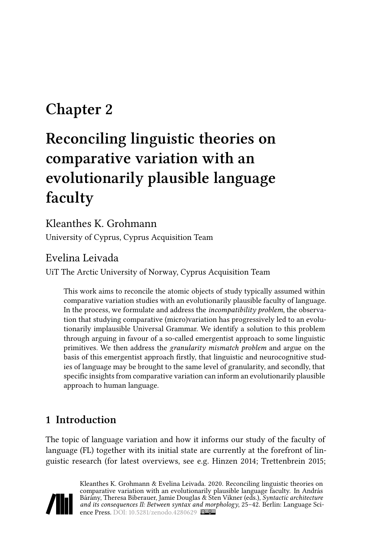# **Chapter 2**

# **Reconciling linguistic theories on comparative variation with an evolutionarily plausible language faculty**

## Kleanthes K. Grohmann

University of Cyprus, Cyprus Acquisition Team

# Evelina Leivada

UiT The Arctic University of Norway, Cyprus Acquisition Team

This work aims to reconcile the atomic objects of study typically assumed within comparative variation studies with an evolutionarily plausible faculty of language. In the process, we formulate and address the *incompatibility problem*, the observation that studying comparative (micro)variation has progressively led to an evolutionarily implausible Universal Grammar. We identify a solution to this problem through arguing in favour of a so-called emergentist approach to some linguistic primitives. We then address the *granularity mismatch problem* and argue on the basis of this emergentist approach firstly, that linguistic and neurocognitive studies of language may be brought to the same level of granularity, and secondly, that specific insights from comparative variation can inform an evolutionarily plausible approach to human language.

# **1 Introduction**

The topic of language variation and how it informs our study of the faculty of language (FL) together with its initial state are currently at the forefront of linguistic research (for latest overviews, see e.g. [Hinzen 2014;](#page-15-0) [Trettenbrein 2015;](#page-17-0)

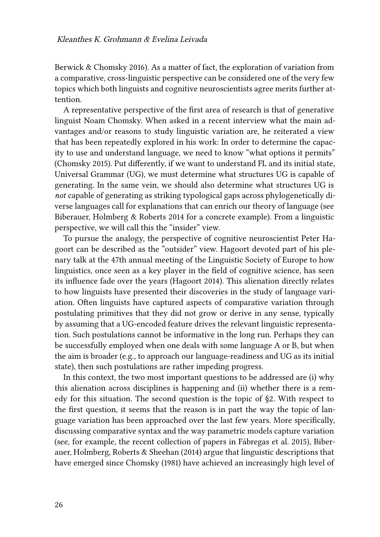[Berwick & Chomsky 2016\)](#page-13-0). As a matter of fact, the exploration of variation from a comparative, cross-linguistic perspective can be considered one of the very few topics which both linguists and cognitive neuroscientists agree merits further attention.

A representative perspective of the first area of research is that of generative linguist Noam Chomsky. When asked in a recent interview what the main advantages and/or reasons to study linguistic variation are, he reiterated a view that has been repeatedly explored in his work: In order to determine the capacity to use and understand language, we need to know "what options it permits" [\(Chomsky 2015\)](#page-14-0). Put differently, if we want to understand FL and its initial state, Universal Grammar (UG), we must determine what structures UG is capable of generating. In the same vein, we should also determine what structures UG is *not* capable of generating as striking typological gaps across phylogenetically diverse languages call for explanations that can enrich our theory of language (see [Biberauer, Holmberg & Roberts 2014](#page-13-1) for a concrete example). From a linguistic perspective, we will call this the "insider" view.

To pursue the analogy, the perspective of cognitive neuroscientist Peter Hagoort can be described as the "outsider" view. Hagoort devoted part of his plenary talk at the 47th annual meeting of the Linguistic Society of Europe to how linguistics, once seen as a key player in the field of cognitive science, has seen its influence fade over the years([Hagoort 2014\)](#page-15-1). This alienation directly relates to how linguists have presented their discoveries in the study of language variation. Often linguists have captured aspects of comparative variation through postulating primitives that they did not grow or derive in any sense, typically by assuming that a UG-encoded feature drives the relevant linguistic representation. Such postulations cannot be informative in the long run. Perhaps they can be successfully employed when one deals with some language A or B, but when the aim is broader (e.g., to approach our language-readiness and UG as its initial state), then such postulations are rather impeding progress.

In this context, the two most important questions to be addressed are (i) why this alienation across disciplines is happening and (ii) whether there is a remedy for this situation. The second question is the topic of §[2.](#page-3-0) With respect to the first question, it seems that the reason is in part the way the topic of language variation has been approached over the last few years. More specifically, discussing comparative syntax and the way parametric models capture variation (see, for example, the recent collection of papers in [Fábregas et al. 2015](#page-14-1)), [Biber](#page-13-2)[auer, Holmberg, Roberts & Sheehan \(2014\)](#page-13-2) argue that linguistic descriptions that have emerged since [Chomsky \(1981\)](#page-14-2) have achieved an increasingly high level of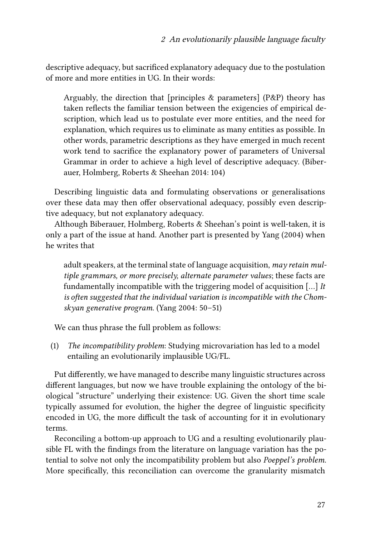descriptive adequacy, but sacrificed explanatory adequacy due to the postulation of more and more entities in UG. In their words:

Arguably, the direction that [principles & parameters] (P&P) theory has taken reflects the familiar tension between the exigencies of empirical description, which lead us to postulate ever more entities, and the need for explanation, which requires us to eliminate as many entities as possible. In other words, parametric descriptions as they have emerged in much recent work tend to sacrifice the explanatory power of parameters of Universal Grammar in order to achieve a high level of descriptive adequacy.([Biber](#page-13-2)[auer, Holmberg, Roberts & Sheehan 2014](#page-13-2): 104)

Describing linguistic data and formulating observations or generalisations over these data may then offer observational adequacy, possibly even descriptive adequacy, but not explanatory adequacy.

Although [Biberauer, Holmberg, Roberts & Sheehan](#page-13-2)'s point is well-taken, it is only a part of the issue at hand. Another part is presented by [Yang \(2004\)](#page-17-1) when he writes that

adult speakers, at the terminal state of language acquisition, *may retain multiple grammars, or more precisely, alternate parameter values*; these facts are fundamentally incompatible with the triggering model of acquisition […] *It is often suggested that the individual variation is incompatible with the Chomskyan generative program*.([Yang 2004:](#page-17-1) 50–51)

We can thus phrase the full problem as follows:

(1) *The incompatibility problem*: Studying microvariation has led to a model entailing an evolutionarily implausible UG/FL.

Put differently, we have managed to describe many linguistic structures across different languages, but now we have trouble explaining the ontology of the biological "structure" underlying their existence: UG. Given the short time scale typically assumed for evolution, the higher the degree of linguistic specificity encoded in UG, the more difficult the task of accounting for it in evolutionary terms.

Reconciling a bottom-up approach to UG and a resulting evolutionarily plausible FL with the findings from the literature on language variation has the potential to solve not only the incompatibility problem but also *Poeppel's problem*. More specifically, this reconciliation can overcome the granularity mismatch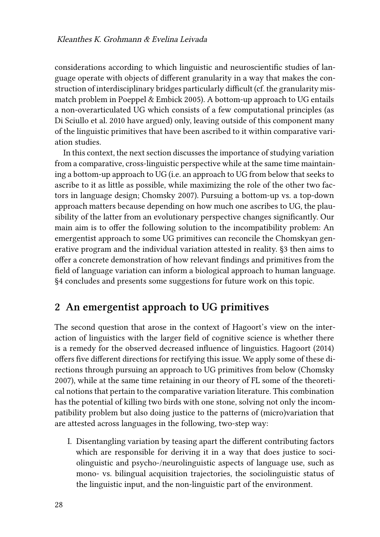considerations according to which linguistic and neuroscientific studies of language operate with objects of different granularity in a way that makes the construction of interdisciplinary bridges particularly difficult (cf. the granularity mismatch problem in [Poeppel & Embick 2005\)](#page-16-0). A bottom-up approach to UG entails a non-overarticulated UG which consists of a few computational principles (as [Di Sciullo et al. 2010](#page-14-3) have argued) only, leaving outside of this component many of the linguistic primitives that have been ascribed to it within comparative variation studies.

In this context, the next section discusses the importance of studying variation from a comparative, cross-linguistic perspective while at the same time maintaining a bottom-up approach to UG (i.e. an approach to UG from below that seeks to ascribe to it as little as possible, while maximizing the role of the other two factors in language design; [Chomsky 2007\)](#page-14-4). Pursuing a bottom-up vs. a top-down approach matters because depending on how much one ascribes to UG, the plausibility of the latter from an evolutionary perspective changes significantly. Our main aim is to offer the following solution to the incompatibility problem: An emergentist approach to some UG primitives can reconcile the Chomskyan generative program and the individual variation attested in reality.§[3](#page-10-0) then aims to offer a concrete demonstration of how relevant findings and primitives from the field of language variation can inform a biological approach to human language. §[4](#page-12-0) concludes and presents some suggestions for future work on this topic.

### <span id="page-3-0"></span>**2 An emergentist approach to UG primitives**

The second question that arose in the context of Hagoort's view on the interaction of linguistics with the larger field of cognitive science is whether there is a remedy for the observed decreased influence of linguistics. [Hagoort \(2014\)](#page-15-1) offers five different directions for rectifying this issue. We apply some of these directions through pursuing an approach to UG primitives from below([Chomsky](#page-14-4) [2007](#page-14-4)), while at the same time retaining in our theory of FL some of the theoretical notions that pertain to the comparative variation literature. This combination has the potential of killing two birds with one stone, solving not only the incompatibility problem but also doing justice to the patterns of (micro)variation that are attested across languages in the following, two-step way:

I. Disentangling variation by teasing apart the different contributing factors which are responsible for deriving it in a way that does justice to sociolinguistic and psycho-/neurolinguistic aspects of language use, such as mono- vs. bilingual acquisition trajectories, the sociolinguistic status of the linguistic input, and the non-linguistic part of the environment.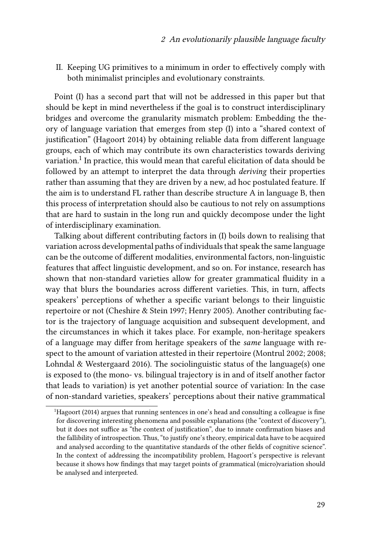II. Keeping UG primitives to a minimum in order to effectively comply with both minimalist principles and evolutionary constraints.

Point (I) has a second part that will not be addressed in this paper but that should be kept in mind nevertheless if the goal is to construct interdisciplinary bridges and overcome the granularity mismatch problem: Embedding the theory of language variation that emerges from step (I) into a "shared context of justification"([Hagoort 2014\)](#page-15-1) by obtaining reliable data from different language groups, each of which may contribute its own characteristics towards deriving variation. $^{\rm 1}$  In practice, this would mean that careful elicitation of data should be followed by an attempt to interpret the data through *deriving* their properties rather than assuming that they are driven by a new, ad hoc postulated feature. If the aim is to understand FL rather than describe structure A in language B, then this process of interpretation should also be cautious to not rely on assumptions that are hard to sustain in the long run and quickly decompose under the light of interdisciplinary examination.

Talking about different contributing factors in (I) boils down to realising that variation across developmental paths of individuals that speak the same language can be the outcome of different modalities, environmental factors, non-linguistic features that affect linguistic development, and so on. For instance, research has shown that non-standard varieties allow for greater grammatical fluidity in a way that blurs the boundaries across different varieties. This, in turn, affects speakers' perceptions of whether a specific variant belongs to their linguistic repertoire or not([Cheshire & Stein 1997](#page-14-5); [Henry 2005\)](#page-15-2). Another contributing factor is the trajectory of language acquisition and subsequent development, and the circumstances in which it takes place. For example, non-heritage speakers of a language may differ from heritage speakers of the *same* language with respect to the amount of variation attested in their repertoire [\(Montrul 2002;](#page-16-1) [2008;](#page-16-2) [Lohndal & Westergaard 2016](#page-15-3)). The sociolinguistic status of the language(s) one is exposed to (the mono- vs. bilingual trajectory is in and of itself another factor that leads to variation) is yet another potential source of variation: In the case of non-standard varieties, speakers' perceptions about their native grammatical

<sup>1</sup>[Hagoort \(2014\)](#page-15-1) argues that running sentences in one's head and consulting a colleague is fine for discovering interesting phenomena and possible explanations (the "context of discovery"), but it does not suffice as "the context of justification", due to innate confirmation biases and the fallibility of introspection. Thus, "to justify one's theory, empirical data have to be acquired and analysed according to the quantitative standards of the other fields of cognitive science". In the context of addressing the incompatibility problem, Hagoort's perspective is relevant because it shows how findings that may target points of grammatical (micro)variation should be analysed and interpreted.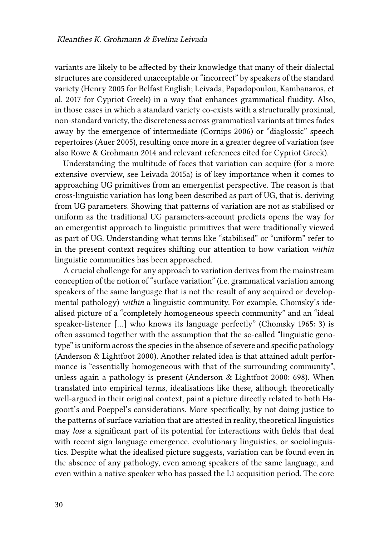variants are likely to be affected by their knowledge that many of their dialectal structures are considered unacceptable or "incorrect" by speakers of the standard variety [\(Henry 2005](#page-15-2) for Belfast English; [Leivada, Papadopoulou, Kambanaros, et](#page-15-4) [al. 2017](#page-15-4) for Cypriot Greek) in a way that enhances grammatical fluidity. Also, in those cases in which a standard variety co-exists with a structurally proximal, non-standard variety, the discreteness across grammatical variants at times fades away by the emergence of intermediate([Cornips 2006\)](#page-14-6) or "diaglossic" speech repertoires([Auer 2005\)](#page-13-3), resulting once more in a greater degree of variation (see also [Rowe & Grohmann 2014](#page-16-3) and relevant references cited for Cypriot Greek).

Understanding the multitude of faces that variation can acquire (for a more extensive overview, see [Leivada 2015a](#page-15-5)) is of key importance when it comes to approaching UG primitives from an emergentist perspective. The reason is that cross-linguistic variation has long been described as part of UG, that is, deriving from UG parameters. Showing that patterns of variation are not as stabilised or uniform as the traditional UG parameters-account predicts opens the way for an emergentist approach to linguistic primitives that were traditionally viewed as part of UG. Understanding what terms like "stabilised" or "uniform" refer to in the present context requires shifting our attention to how variation *within* linguistic communities has been approached.

A crucial challenge for any approach to variation derives from the mainstream conception of the notion of "surface variation" (i.e. grammatical variation among speakers of the same language that is not the result of any acquired or developmental pathology) *within* a linguistic community. For example, Chomsky's idealised picture of a "completely homogeneous speech community" and an "ideal speaker-listener […] who knows its language perfectly"([Chomsky 1965:](#page-14-7) 3) is often assumed together with the assumption that the so-called "linguistic genotype" is uniform across the species in the absence of severe and specific pathology [\(Anderson & Lightfoot 2000](#page-13-4)). Another related idea is that attained adult performance is "essentially homogeneous with that of the surrounding community", unless again a pathology is present [\(Anderson & Lightfoot 2000](#page-13-4): 698). When translated into empirical terms, idealisations like these, although theoretically well-argued in their original context, paint a picture directly related to both Hagoort's and Poeppel's considerations. More specifically, by not doing justice to the patterns of surface variation that are attested in reality, theoretical linguistics may *lose* a significant part of its potential for interactions with fields that deal with recent sign language emergence, evolutionary linguistics, or sociolinguistics. Despite what the idealised picture suggests, variation can be found even in the absence of any pathology, even among speakers of the same language, and even within a native speaker who has passed the L1 acquisition period. The core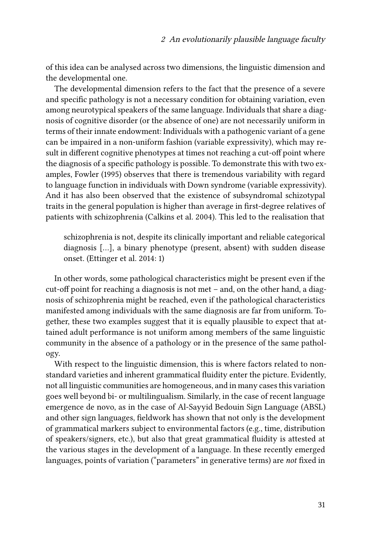of this idea can be analysed across two dimensions, the linguistic dimension and the developmental one.

The developmental dimension refers to the fact that the presence of a severe and specific pathology is not a necessary condition for obtaining variation, even among neurotypical speakers of the same language. Individuals that share a diagnosis of cognitive disorder (or the absence of one) are not necessarily uniform in terms of their innate endowment: Individuals with a pathogenic variant of a gene can be impaired in a non-uniform fashion (variable expressivity), which may result in different cognitive phenotypes at times not reaching a cut-off point where the diagnosis of a specific pathology is possible. To demonstrate this with two examples, [Fowler \(1995\)](#page-14-8) observes that there is tremendous variability with regard to language function in individuals with Down syndrome (variable expressivity). And it has also been observed that the existence of subsyndromal schizotypal traits in the general population is higher than average in first-degree relatives of patients with schizophrenia([Calkins et al. 2004](#page-14-9)). This led to the realisation that

schizophrenia is not, despite its clinically important and reliable categorical diagnosis […], a binary phenotype (present, absent) with sudden disease onset. [\(Ettinger et al. 2014:](#page-14-10) 1)

In other words, some pathological characteristics might be present even if the cut-off point for reaching a diagnosis is not met – and, on the other hand, a diagnosis of schizophrenia might be reached, even if the pathological characteristics manifested among individuals with the same diagnosis are far from uniform. Together, these two examples suggest that it is equally plausible to expect that attained adult performance is not uniform among members of the same linguistic community in the absence of a pathology or in the presence of the same pathology.

With respect to the linguistic dimension, this is where factors related to nonstandard varieties and inherent grammatical fluidity enter the picture. Evidently, not all linguistic communities are homogeneous, and in many cases this variation goes well beyond bi- or multilingualism. Similarly, in the case of recent language emergence de novo, as in the case of Al-Sayyid Bedouin Sign Language (ABSL) and other sign languages, fieldwork has shown that not only is the development of grammatical markers subject to environmental factors (e.g., time, distribution of speakers/signers, etc.), but also that great grammatical fluidity is attested at the various stages in the development of a language. In these recently emerged languages, points of variation ("parameters" in generative terms) are *not* fixed in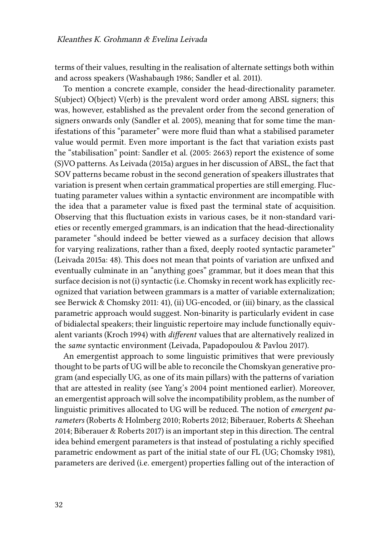terms of their values, resulting in the realisation of alternate settings both within and across speakers([Washabaugh 1986;](#page-17-2) [Sandler et al. 2011\)](#page-16-4).

To mention a concrete example, consider the head-directionality parameter. S(ubject) O(bject) V(erb) is the prevalent word order among ABSL signers; this was, however, established as the prevalent order from the second generation of signers onwards only([Sandler et al. 2005\)](#page-16-5), meaning that for some time the manifestations of this "parameter" were more fluid than what a stabilised parameter value would permit. Even more important is the fact that variation exists past the "stabilisation" point: [Sandler et al. \(2005](#page-16-5): 2663) report the existence of some (S)VO patterns. As [Leivada \(2015a\)](#page-15-5) argues in her discussion of ABSL, the fact that SOV patterns became robust in the second generation of speakers illustrates that variation is present when certain grammatical properties are still emerging. Fluctuating parameter values within a syntactic environment are incompatible with the idea that a parameter value is fixed past the terminal state of acquisition. Observing that this fluctuation exists in various cases, be it non-standard varieties or recently emerged grammars, is an indication that the head-directionality parameter "should indeed be better viewed as a surfacey decision that allows for varying realizations, rather than a fixed, deeply rooted syntactic parameter" [\(Leivada 2015a](#page-15-5): 48). This does not mean that points of variation are unfixed and eventually culminate in an "anything goes" grammar, but it does mean that this surface decision is not (i) syntactic (i.e. Chomsky in recent work has explicitly recognized that variation between grammars is a matter of variable externalization; see [Berwick & Chomsky 2011:](#page-13-5) 41), (ii) UG-encoded, or (iii) binary, as the classical parametric approach would suggest. Non-binarity is particularly evident in case of bidialectal speakers; their linguistic repertoire may include functionally equivalent variants([Kroch 1994\)](#page-15-6) with *different* values that are alternatively realized in the *same* syntactic environment [\(Leivada, Papadopoulou & Pavlou 2017](#page-15-7)).

An emergentist approach to some linguistic primitives that were previously thought to be parts of UG will be able to reconcile the Chomskyan generative program (and especially UG, as one of its main pillars) with the patterns of variation that are attested in reality (see [Yang'](#page-17-1)s [2004](#page-17-1) point mentioned earlier). Moreover, an emergentist approach will solve the incompatibility problem, as the number of linguistic primitives allocated to UG will be reduced. The notion of *emergent parameters* ([Roberts & Holmberg 2010](#page-16-6); [Roberts 2012](#page-16-7); [Biberauer, Roberts & Sheehan](#page-13-6) [2014](#page-13-6); [Biberauer & Roberts 2017\)](#page-13-7) is an important step in this direction. The central idea behind emergent parameters is that instead of postulating a richly specified parametric endowment as part of the initial state of our FL (UG; [Chomsky 1981](#page-14-2)), parameters are derived (i.e. emergent) properties falling out of the interaction of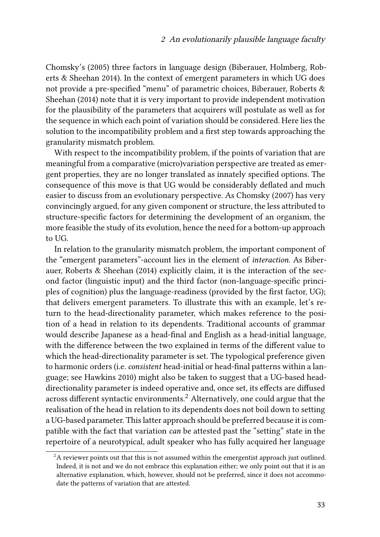[Chomsky'](#page-14-11)s (2005) three factors in language design([Biberauer, Holmberg, Rob](#page-13-2)[erts & Sheehan 2014\)](#page-13-2). In the context of emergent parameters in which UG does not provide a pre-specified "menu" of parametric choices, [Biberauer, Roberts &](#page-13-6) [Sheehan \(2014\)](#page-13-6) note that it is very important to provide independent motivation for the plausibility of the parameters that acquirers will postulate as well as for the sequence in which each point of variation should be considered. Here lies the solution to the incompatibility problem and a first step towards approaching the granularity mismatch problem.

With respect to the incompatibility problem, if the points of variation that are meaningful from a comparative (micro)variation perspective are treated as emergent properties, they are no longer translated as innately specified options. The consequence of this move is that UG would be considerably deflated and much easier to discuss from an evolutionary perspective. As [Chomsky \(2007\)](#page-14-4) has very convincingly argued, for any given component or structure, the less attributed to structure-specific factors for determining the development of an organism, the more feasible the study of its evolution, hence the need for a bottom-up approach to UG.

In relation to the granularity mismatch problem, the important component of the "emergent parameters"-account lies in the element of *interaction*. As [Biber](#page-13-6)[auer, Roberts & Sheehan \(2014\)](#page-13-6) explicitly claim, it is the interaction of the second factor (linguistic input) and the third factor (non-language-specific principles of cognition) plus the language-readiness (provided by the first factor, UG); that delivers emergent parameters. To illustrate this with an example, let's return to the head-directionality parameter, which makes reference to the position of a head in relation to its dependents. Traditional accounts of grammar would describe Japanese as a head-final and English as a head-initial language, with the difference between the two explained in terms of the different value to which the head-directionality parameter is set. The typological preference given to harmonic orders (i.e. *consistent* head-initial or head-final patterns within a language; see [Hawkins 2010\)](#page-15-8) might also be taken to suggest that a UG-based headdirectionality parameter is indeed operative and, once set, its effects are diffused across different syntactic environments.<sup>2</sup> Alternatively, one could argue that the realisation of the head in relation to its dependents does not boil down to setting a UG-based parameter. This latter approach should be preferred because it is compatible with the fact that variation *can* be attested past the "setting" state in the repertoire of a neurotypical, adult speaker who has fully acquired her language

 ${}^{2}$ A reviewer points out that this is not assumed within the emergentist approach just outlined. Indeed, it is not and we do not embrace this explanation either; we only point out that it is an alternative explanation, which, however, should not be preferred, since it does not accommodate the patterns of variation that are attested.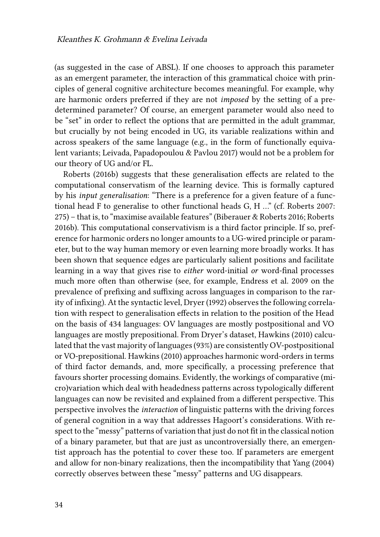(as suggested in the case of ABSL). If one chooses to approach this parameter as an emergent parameter, the interaction of this grammatical choice with principles of general cognitive architecture becomes meaningful. For example, why are harmonic orders preferred if they are not *imposed* by the setting of a predetermined parameter? Of course, an emergent parameter would also need to be "set" in order to reflect the options that are permitted in the adult grammar, but crucially by not being encoded in UG, its variable realizations within and across speakers of the same language (e.g., in the form of functionally equivalent variants; [Leivada, Papadopoulou & Pavlou 2017](#page-15-7)) would not be a problem for our theory of UG and/or FL.

[Roberts \(2016b\)](#page-16-8) suggests that these generalisation effects are related to the computational conservatism of the learning device. This is formally captured by his *input generalisation*: "There is a preference for a given feature of a functional head F to generalise to other functional heads G, H …" (cf. [Roberts 2007](#page-16-9): 275) – that is, to "maximise available features" [\(Biberauer & Roberts 2016](#page-13-8); [Roberts](#page-16-8) [2016b](#page-16-8)). This computational conservativism is a third factor principle. If so, preference for harmonic orders no longer amounts to a UG-wired principle or parameter, but to the way human memory or even learning more broadly works. It has been shown that sequence edges are particularly salient positions and facilitate learning in a way that gives rise to *either* word-initial *or* word-final processes much more often than otherwise (see, for example, [Endress et al. 2009](#page-14-12) on the prevalence of prefixing and suffixing across languages in comparison to the rarity of infixing). At the syntactic level, [Dryer \(1992\)](#page-14-13) observes the following correlation with respect to generalisation effects in relation to the position of the Head on the basis of 434 languages: OV languages are mostly postpositional and VO languages are mostly prepositional. From Dryer's dataset, [Hawkins \(2010\)](#page-15-8) calculated that the vast majority of languages (93%) are consistently OV-postpositional or VO-prepositional. [Hawkins \(2010\)](#page-15-8) approaches harmonic word-orders in terms of third factor demands, and, more specifically, a processing preference that favours shorter processing domains. Evidently, the workings of comparative (micro)variation which deal with headedness patterns across typologically different languages can now be revisited and explained from a different perspective. This perspective involves the *interaction* of linguistic patterns with the driving forces of general cognition in a way that addresses Hagoort's considerations. With respect to the "messy" patterns of variation that just do not fit in the classical notion of a binary parameter, but that are just as uncontroversially there, an emergentist approach has the potential to cover these too. If parameters are emergent and allow for non-binary realizations, then the incompatibility that [Yang \(2004\)](#page-17-1) correctly observes between these "messy" patterns and UG disappears.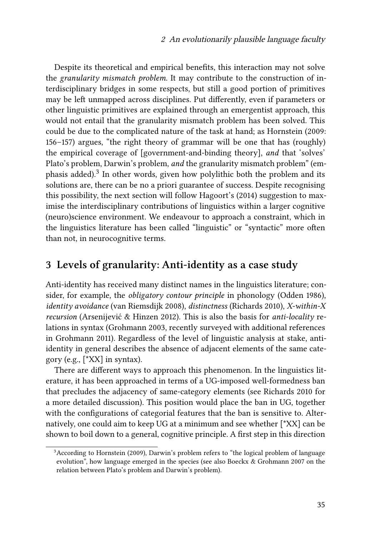Despite its theoretical and empirical benefits, this interaction may not solve the *granularity mismatch problem*. It may contribute to the construction of interdisciplinary bridges in some respects, but still a good portion of primitives may be left unmapped across disciplines. Put differently, even if parameters or other linguistic primitives are explained through an emergentist approach, this would not entail that the granularity mismatch problem has been solved. This could be due to the complicated nature of the task at hand; as [Hornstein \(2009](#page-15-9): 156–157) argues, "the right theory of grammar will be one that has (roughly) the empirical coverage of [government-and-binding theory], *and* that 'solves' Plato's problem, Darwin's problem, *and* the granularity mismatch problem" (emphasis added).<sup>3</sup> In other words, given how polylithic both the problem and its solutions are, there can be no a priori guarantee of success. Despite recognising this possibility, the next section will follow [Hagoort'](#page-15-1)s (2014) suggestion to maximise the interdisciplinary contributions of linguistics within a larger cognitive (neuro)science environment. We endeavour to approach a constraint, which in the linguistics literature has been called "linguistic" or "syntactic" more often than not, in neurocognitive terms.

#### <span id="page-10-0"></span>**3 Levels of granularity: Anti-identity as a case study**

Anti-identity has received many distinct names in the linguistics literature; consider, for example, the *obligatory contour principle* in phonology([Odden 1986\)](#page-16-10), *identity avoidance* ([van Riemsdijk 2008](#page-17-3)), *distinctness* [\(Richards 2010\)](#page-16-11), *X-within-X recursion* [\(Arsenijević & Hinzen 2012\)](#page-13-9). This is also the basis for *anti-locality* relations in syntax([Grohmann 2003](#page-15-10), recently surveyed with additional references in [Grohmann 2011\)](#page-15-11). Regardless of the level of linguistic analysis at stake, antiidentity in general describes the absence of adjacent elements of the same category (e.g., [\*XX] in syntax).

There are different ways to approach this phenomenon. In the linguistics literature, it has been approached in terms of a UG-imposed well-formedness ban that precludes the adjacency of same-category elements (see [Richards 2010](#page-16-11) for a more detailed discussion). This position would place the ban in UG, together with the configurations of categorial features that the ban is sensitive to. Alternatively, one could aim to keep UG at a minimum and see whether [\*XX] can be shown to boil down to a general, cognitive principle. A first step in this direction

<sup>&</sup>lt;sup>3</sup> According to [Hornstein \(2009\)](#page-15-9), Darwin's problem refers to "the logical problem of language evolution", how language emerged in the species (see also [Boeckx & Grohmann 2007](#page-13-10) on the relation between Plato's problem and Darwin's problem).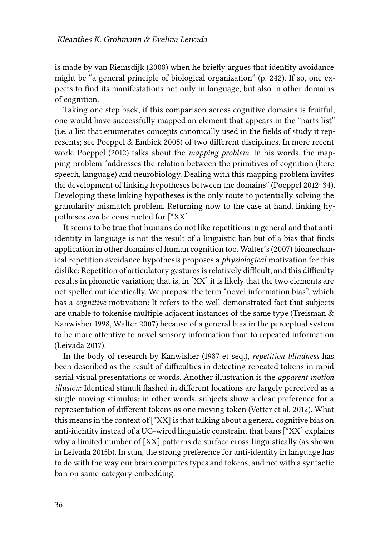is made by [van Riemsdijk \(2008\)](#page-17-3) when he briefly argues that identity avoidance might be "a general principle of biological organization" (p. 242). If so, one expects to find its manifestations not only in language, but also in other domains of cognition.

Taking one step back, if this comparison across cognitive domains is fruitful, one would have successfully mapped an element that appears in the "parts list" (i.e. a list that enumerates concepts canonically used in the fields of study it represents; see [Poeppel & Embick 2005\)](#page-16-0) of two different disciplines. In more recent work, [Poeppel \(2012\)](#page-16-12) talks about the *mapping problem*. In his words, the mapping problem "addresses the relation between the primitives of cognition (here speech, language) and neurobiology. Dealing with this mapping problem invites the development of linking hypotheses between the domains" [\(Poeppel 2012:](#page-16-12) 34). Developing these linking hypotheses is the only route to potentially solving the granularity mismatch problem. Returning now to the case at hand, linking hypotheses *can* be constructed for [\*XX].

It seems to be true that humans do not like repetitions in general and that antiidentity in language is not the result of a linguistic ban but of a bias that finds application in other domains of human cognition too. [Walter'](#page-17-4)s (2007) biomechanical repetition avoidance hypothesis proposes a *physiological* motivation for this dislike: Repetition of articulatory gestures is relatively difficult, and this difficulty results in phonetic variation; that is, in [XX] it is likely that the two elements are not spelled out identically. We propose the term "novel information bias", which has a *cognitive* motivation: It refers to the well-demonstrated fact that subjects are unable to tokenise multiple adjacent instances of the same type([Treisman &](#page-17-5) [Kanwisher 1998](#page-17-5), [Walter 2007](#page-17-4)) because of a general bias in the perceptual system to be more attentive to novel sensory information than to repeated information [\(Leivada 2017\)](#page-15-12).

In the body of research by [Kanwisher](#page-15-13) [\(1987](#page-15-13) et seq.), *repetition blindness* has been described as the result of difficulties in detecting repeated tokens in rapid serial visual presentations of words. Another illustration is the *apparent motion illusion*: Identical stimuli flashed in different locations are largely perceived as a single moving stimulus; in other words, subjects show a clear preference for a representation of different tokens as one moving token [\(Vetter et al. 2012\)](#page-17-6). What this means in the context of [\*XX] is that talking about a general cognitive bias on anti-identity instead of a UG-wired linguistic constraint that bans [\*XX] explains why a limited number of [XX] patterns do surface cross-linguistically (as shown in [Leivada 2015b](#page-15-14)). In sum, the strong preference for anti-identity in language has to do with the way our brain computes types and tokens, and not with a syntactic ban on same-category embedding.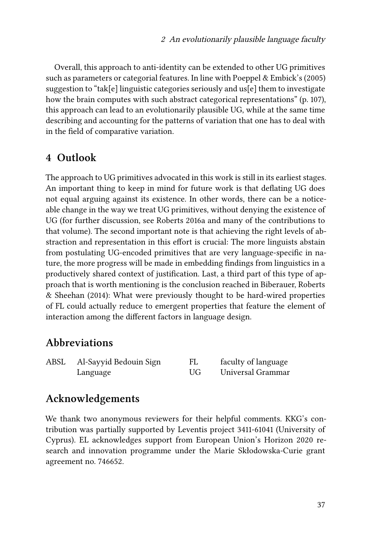Overall, this approach to anti-identity can be extended to other UG primitives such as parameters or categorial features. In line with [Poeppel & Embick](#page-16-0)'s (2005) suggestion to "tak[e] linguistic categories seriously and us[e] them to investigate how the brain computes with such abstract categorical representations" (p. 107), this approach can lead to an evolutionarily plausible UG, while at the same time describing and accounting for the patterns of variation that one has to deal with in the field of comparative variation.

#### <span id="page-12-0"></span>**4 Outlook**

The approach to UG primitives advocated in this work is still in its earliest stages. An important thing to keep in mind for future work is that deflating UG does not equal arguing against its existence. In other words, there can be a noticeable change in the way we treat UG primitives, without denying the existence of UG (for further discussion, see [Roberts 2016a](#page-16-13) and many of the contributions to that volume). The second important note is that achieving the right levels of abstraction and representation in this effort is crucial: The more linguists abstain from postulating UG-encoded primitives that are very language-specific in nature, the more progress will be made in embedding findings from linguistics in a productively shared context of justification. Last, a third part of this type of approach that is worth mentioning is the conclusion reached in [Biberauer, Roberts](#page-13-6) [& Sheehan \(2014\)](#page-13-6): What were previously thought to be hard-wired properties of FL could actually reduce to emergent properties that feature the element of interaction among the different factors in language design.

#### **Abbreviations**

| ABSL | Al-Sayyid Bedouin Sign |    | faculty of language |
|------|------------------------|----|---------------------|
|      | Language               | UG | Universal Grammar   |

### **Acknowledgements**

We thank two anonymous reviewers for their helpful comments. KKG's contribution was partially supported by Leventis project 3411-61041 (University of Cyprus). EL acknowledges support from European Union's Horizon 2020 research and innovation programme under the Marie Skłodowska-Curie grant agreement no. 746652.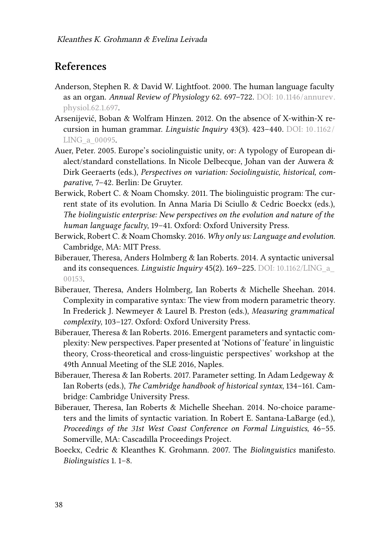## **References**

- <span id="page-13-4"></span>Anderson, Stephen R. & David W. Lightfoot. 2000. The human language faculty as an organ. *Annual Review of Physiology* 62. 697–722. DOI: [10.1146/annurev.](https://doi.org/10.1146/annurev.physiol.62.1.697) [physiol.62.1.697.](https://doi.org/10.1146/annurev.physiol.62.1.697)
- <span id="page-13-9"></span>Arsenijević, Boban & Wolfram Hinzen. 2012. On the absence of X-within-X recursion in human grammar. *Linguistic Inquiry* 43(3). 423–440. DOI: [10. 1162 /](https://doi.org/10.1162/LING_a_00095) [LING\\_a\\_00095](https://doi.org/10.1162/LING_a_00095).
- <span id="page-13-3"></span>Auer, Peter. 2005. Europe's sociolinguistic unity, or: A typology of European dialect/standard constellations. In Nicole Delbecque, Johan van der Auwera & Dirk Geeraerts (eds.), *Perspectives on variation: Sociolinguistic, historical, comparative*, 7–42. Berlin: De Gruyter.
- <span id="page-13-5"></span>Berwick, Robert C. & Noam Chomsky. 2011. The biolinguistic program: The current state of its evolution. In Anna Maria Di Sciullo & Cedric Boeckx (eds.), *The biolinguistic enterprise: New perspectives on the evolution and nature of the human language faculty*, 19–41. Oxford: Oxford University Press.
- <span id="page-13-0"></span>Berwick, Robert C. & Noam Chomsky. 2016. *Why only us: Language and evolution*. Cambridge, MA: MIT Press.
- <span id="page-13-1"></span>Biberauer, Theresa, Anders Holmberg & Ian Roberts. 2014. A syntactic universal and its consequences. *Linguistic Inquiry* 45(2). 169–225. DOI: [10.1162/LING\\_a\\_](https://doi.org/10.1162/LING_a_00153) [00153](https://doi.org/10.1162/LING_a_00153).
- <span id="page-13-2"></span>Biberauer, Theresa, Anders Holmberg, Ian Roberts & Michelle Sheehan. 2014. Complexity in comparative syntax: The view from modern parametric theory. In Frederick J. Newmeyer & Laurel B. Preston (eds.), *Measuring grammatical complexity*, 103–127. Oxford: Oxford University Press.
- <span id="page-13-8"></span>Biberauer, Theresa & Ian Roberts. 2016. Emergent parameters and syntactic complexity: New perspectives. Paper presented at 'Notions of 'feature' in linguistic theory, Cross-theoretical and cross-linguistic perspectives' workshop at the 49th Annual Meeting of the SLE 2016, Naples.
- <span id="page-13-7"></span>Biberauer, Theresa & Ian Roberts. 2017. Parameter setting. In Adam Ledgeway & Ian Roberts (eds.), *The Cambridge handbook of historical syntax*, 134–161. Cambridge: Cambridge University Press.
- <span id="page-13-6"></span>Biberauer, Theresa, Ian Roberts & Michelle Sheehan. 2014. No-choice parameters and the limits of syntactic variation. In Robert E. Santana-LaBarge (ed.), *Proceedings of the 31st West Coast Conference on Formal Linguistics*, 46–55. Somerville, MA: Cascadilla Proceedings Project.
- <span id="page-13-10"></span>Boeckx, Cedric & Kleanthes K. Grohmann. 2007. The *Biolinguistics* manifesto. *Biolinguistics* 1. 1–8.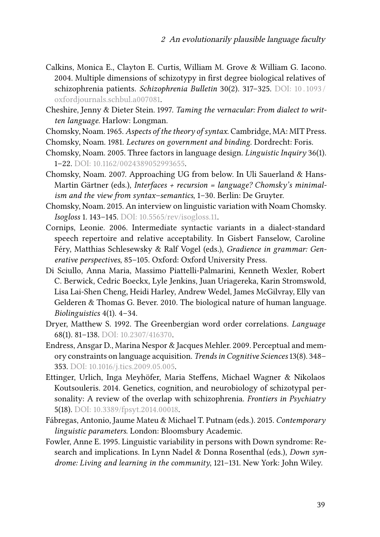- <span id="page-14-9"></span>Calkins, Monica E., Clayton E. Curtis, William M. Grove & William G. Iacono. 2004. Multiple dimensions of schizotypy in first degree biological relatives of schizophrenia patients. *Schizophrenia Bulletin* 30(2). 317–325. DOI: [10 . 1093 /](https://doi.org/10.1093/oxfordjournals.schbul.a007081) [oxfordjournals.schbul.a007081](https://doi.org/10.1093/oxfordjournals.schbul.a007081).
- <span id="page-14-5"></span>Cheshire, Jenny & Dieter Stein. 1997. *Taming the vernacular: From dialect to written language*. Harlow: Longman.
- <span id="page-14-7"></span>Chomsky, Noam. 1965. *Aspects of the theory of syntax*. Cambridge, MA: MIT Press.
- <span id="page-14-2"></span>Chomsky, Noam. 1981. *Lectures on government and binding*. Dordrecht: Foris.
- <span id="page-14-11"></span>Chomsky, Noam. 2005. Three factors in language design. *Linguistic Inquiry* 36(1). 1–22. DOI: [10.1162/0024389052993655](https://doi.org/10.1162/0024389052993655).
- <span id="page-14-4"></span>Chomsky, Noam. 2007. Approaching UG from below. In Uli Sauerland & Hans-Martin Gärtner (eds.), *Interfaces + recursion = language? Chomsky's minimalism and the view from syntax–semantics*, 1–30. Berlin: De Gruyter.
- <span id="page-14-0"></span>Chomsky, Noam. 2015. An interview on linguistic variation with Noam Chomsky. *Isogloss* 1. 143–145. DOI: [10.5565/rev/isogloss.11](https://doi.org/10.5565/rev/isogloss.11).
- <span id="page-14-6"></span>Cornips, Leonie. 2006. Intermediate syntactic variants in a dialect-standard speech repertoire and relative acceptability. In Gisbert Fanselow, Caroline Féry, Matthias Schlesewsky & Ralf Vogel (eds.), *Gradience in grammar: Generative perspectives*, 85–105. Oxford: Oxford University Press.
- <span id="page-14-3"></span>Di Sciullo, Anna Maria, Massimo Piattelli-Palmarini, Kenneth Wexler, Robert C. Berwick, Cedric Boeckx, Lyle Jenkins, Juan Uriagereka, Karin Stromswold, Lisa Lai-Shen Cheng, Heidi Harley, Andrew Wedel, James McGilvray, Elly van Gelderen & Thomas G. Bever. 2010. The biological nature of human language. *Biolinguistics* 4(1). 4–34.
- <span id="page-14-13"></span>Dryer, Matthew S. 1992. The Greenbergian word order correlations. *Language* 68(1). 81–138. DOI: [10.2307/416370](https://doi.org/10.2307/416370).
- <span id="page-14-12"></span>Endress, Ansgar D., Marina Nespor & Jacques Mehler. 2009. Perceptual and memory constraints on language acquisition. *Trends in Cognitive Sciences* 13(8). 348– 353. DOI: [10.1016/j.tics.2009.05.005.](https://doi.org/10.1016/j.tics.2009.05.005)
- <span id="page-14-10"></span>Ettinger, Urlich, Inga Meyhöfer, Maria Steffens, Michael Wagner & Nikolaos Koutsouleris. 2014. Genetics, cognition, and neurobiology of schizotypal personality: A review of the overlap with schizophrenia. *Frontiers in Psychiatry* 5(18). DOI: [10.3389/fpsyt.2014.00018](https://doi.org/10.3389/fpsyt.2014.00018).
- <span id="page-14-1"></span>Fábregas, Antonio, Jaume Mateu & Michael T. Putnam (eds.). 2015. *Contemporary linguistic parameters*. London: Bloomsbury Academic.
- <span id="page-14-8"></span>Fowler, Anne E. 1995. Linguistic variability in persons with Down syndrome: Research and implications. In Lynn Nadel & Donna Rosenthal (eds.), *Down syndrome: Living and learning in the community*, 121–131. New York: John Wiley.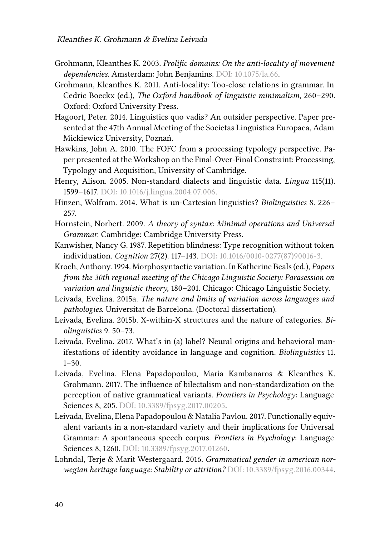- <span id="page-15-10"></span>Grohmann, Kleanthes K. 2003. *Prolific domains: On the anti-locality of movement dependencies*. Amsterdam: John Benjamins. DOI: [10.1075/la.66.](https://doi.org/10.1075/la.66)
- <span id="page-15-11"></span>Grohmann, Kleanthes K. 2011. Anti-locality: Too-close relations in grammar. In Cedric Boeckx (ed.), *The Oxford handbook of linguistic minimalism*, 260–290. Oxford: Oxford University Press.
- <span id="page-15-1"></span>Hagoort, Peter. 2014. Linguistics quo vadis? An outsider perspective. Paper presented at the 47th Annual Meeting of the Societas Linguistica Europaea, Adam Mickiewicz University, Poznań.
- <span id="page-15-8"></span>Hawkins, John A. 2010. The FOFC from a processing typology perspective. Paper presented at the Workshop on the Final-Over-Final Constraint: Processing, Typology and Acquisition, University of Cambridge.
- <span id="page-15-2"></span>Henry, Alison. 2005. Non-standard dialects and linguistic data. *Lingua* 115(11). 1599–1617. DOI: [10.1016/j.lingua.2004.07.006](https://doi.org/10.1016/j.lingua.2004.07.006).
- <span id="page-15-0"></span>Hinzen, Wolfram. 2014. What is un-Cartesian linguistics? *Biolinguistics* 8. 226– 257.
- <span id="page-15-9"></span>Hornstein, Norbert. 2009. *A theory of syntax: Minimal operations and Universal Grammar*. Cambridge: Cambridge University Press.
- <span id="page-15-13"></span>Kanwisher, Nancy G. 1987. Repetition blindness: Type recognition without token individuation. *Cognition* 27(2). 117–143. DOI: [10.1016/0010-0277\(87\)90016-3](https://doi.org/10.1016/0010-0277(87)90016-3).
- <span id="page-15-6"></span>Kroch, Anthony. 1994. Morphosyntactic variation. In Katherine Beals (ed.), *Papers from the 30th regional meeting of the Chicago Linguistic Society: Parasession on variation and linguistic theory*, 180–201. Chicago: Chicago Linguistic Society.
- <span id="page-15-5"></span>Leivada, Evelina. 2015a. *The nature and limits of variation across languages and pathologies*. Universitat de Barcelona. (Doctoral dissertation).
- <span id="page-15-14"></span>Leivada, Evelina. 2015b. X-within-X structures and the nature of categories. *Biolinguistics* 9. 50–73.
- <span id="page-15-12"></span>Leivada, Evelina. 2017. What's in (a) label? Neural origins and behavioral manifestations of identity avoidance in language and cognition. *Biolinguistics* 11.  $1-30.$
- <span id="page-15-4"></span>Leivada, Evelina, Elena Papadopoulou, Maria Kambanaros & Kleanthes K. Grohmann. 2017. The influence of bilectalism and non-standardization on the perception of native grammatical variants. *Frontiers in Psychology*: Language Sciences 8, 205. DOI: [10.3389/fpsyg.2017.00205.](https://doi.org/10.3389/fpsyg.2017.00205)
- <span id="page-15-7"></span>Leivada, Evelina, Elena Papadopoulou & Natalia Pavlou. 2017. Functionally equivalent variants in a non-standard variety and their implications for Universal Grammar: A spontaneous speech corpus. *Frontiers in Psychology*: Language Sciences 8, 1260. DOI: [10.3389/fpsyg.2017.01260.](https://doi.org/10.3389/fpsyg.2017.01260)
- <span id="page-15-3"></span>Lohndal, Terje & Marit Westergaard. 2016. *Grammatical gender in american norwegian heritage language: Stability or attrition?* DOI: [10.3389/fpsyg.2016.00344](https://doi.org/10.3389/fpsyg.2016.00344).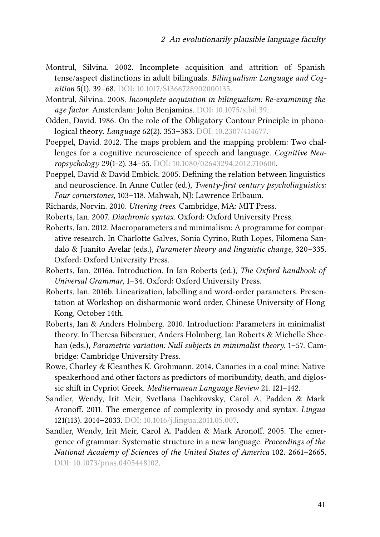- <span id="page-16-1"></span>Montrul, Silvina. 2002. Incomplete acquisition and attrition of Spanish tense/aspect distinctions in adult bilinguals. *Bilingualism: Language and Cognition* 5(1). 39–68. DOI: [10.1017/S1366728902000135.](https://doi.org/10.1017/S1366728902000135)
- <span id="page-16-2"></span>Montrul, Silvina. 2008. *Incomplete acquisition in bilingualism: Re-examining the age factor*. Amsterdam: John Benjamins. DOI: [10.1075/sibil.39.](https://doi.org/10.1075/sibil.39)
- <span id="page-16-10"></span>Odden, David. 1986. On the role of the Obligatory Contour Principle in phonological theory. *Language* 62(2). 353–383. DOI: [10.2307/414677.](https://doi.org/10.2307/414677)
- <span id="page-16-12"></span>Poeppel, David. 2012. The maps problem and the mapping problem: Two challenges for a cognitive neuroscience of speech and language. *Cognitive Neuropsychology* 29(1-2). 34–55. DOI: [10.1080/02643294.2012.710600.](https://doi.org/10.1080/02643294.2012.710600)
- <span id="page-16-0"></span>Poeppel, David & David Embick. 2005. Defining the relation between linguistics and neuroscience. In Anne Cutler (ed.), *Twenty-first century psycholinguistics: Four cornerstones*, 103–118. Mahwah, NJ: Lawrence Erlbaum.
- <span id="page-16-11"></span>Richards, Norvin. 2010. *Uttering trees*. Cambridge, MA: MIT Press.
- <span id="page-16-9"></span>Roberts, Ian. 2007. *Diachronic syntax*. Oxford: Oxford University Press.
- <span id="page-16-7"></span>Roberts, Ian. 2012. Macroparameters and minimalism: A programme for comparative research. In Charlotte Galves, Sonia Cyrino, Ruth Lopes, Filomena Sandalo & Juanito Avelar (eds.), *Parameter theory and linguistic change*, 320–335. Oxford: Oxford University Press.
- <span id="page-16-13"></span>Roberts, Ian. 2016a. Introduction. In Ian Roberts (ed.), *The Oxford handbook of Universal Grammar*, 1–34. Oxford: Oxford University Press.
- <span id="page-16-8"></span>Roberts, Ian. 2016b. Linearization, labelling and word-order parameters. Presentation at Workshop on disharmonic word order, Chinese University of Hong Kong, October 14th.
- <span id="page-16-6"></span>Roberts, Ian & Anders Holmberg. 2010. Introduction: Parameters in minimalist theory. In Theresa Biberauer, Anders Holmberg, Ian Roberts & Michelle Sheehan (eds.), *Parametric variation: Null subjects in minimalist theory*, 1–57. Cambridge: Cambridge University Press.
- <span id="page-16-3"></span>Rowe, Charley & Kleanthes K. Grohmann. 2014. Canaries in a coal mine: Native speakerhood and other factors as predictors of moribundity, death, and diglossic shift in Cypriot Greek. *Mediterranean Language Review* 21. 121–142.
- <span id="page-16-4"></span>Sandler, Wendy, Irit Meir, Svetlana Dachkovsky, Carol A. Padden & Mark Aronoff. 2011. The emergence of complexity in prosody and syntax. *Lingua* 121(113). 2014–2033. DOI: [10.1016/j.lingua.2011.05.007](https://doi.org/10.1016/j.lingua.2011.05.007).
- <span id="page-16-5"></span>Sandler, Wendy, Irit Meir, Carol A. Padden & Mark Aronoff. 2005. The emergence of grammar: Systematic structure in a new language. *Proceedings of the National Academy of Sciences of the United States of America* 102. 2661–2665. DOI: [10.1073/pnas.0405448102.](https://doi.org/10.1073/pnas.0405448102)